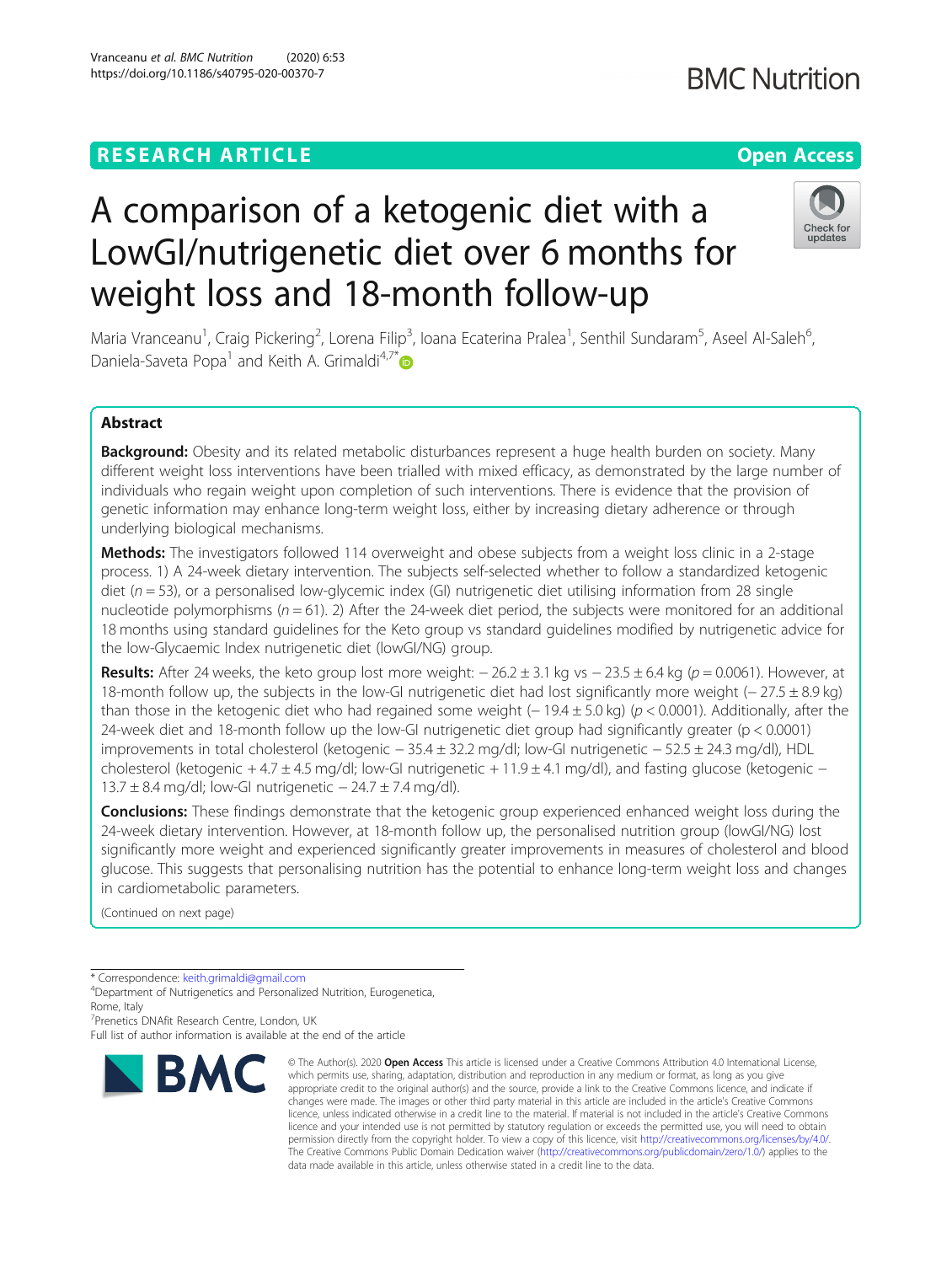# **RESEARCH ARTICLE Example 2014 12:30 The Contract of Contract ACCESS**

# A comparison of a ketogenic diet with a LowGI/nutrigenetic diet over 6 months for weight loss and 18-month follow-up

Maria Vranceanu<sup>1</sup>, Craig Pickering<sup>2</sup>, Lorena Filip<sup>3</sup>, Ioana Ecaterina Pralea<sup>1</sup>, Senthil Sundaram<sup>5</sup>, Aseel Al-Saleh<sup>6</sup> י<br>, Daniela-Saveta Popa<sup>1</sup> and Keith A. Grimaldi<sup>4,7\*</sup>

# Abstract

Background: Obesity and its related metabolic disturbances represent a huge health burden on society. Many different weight loss interventions have been trialled with mixed efficacy, as demonstrated by the large number of individuals who regain weight upon completion of such interventions. There is evidence that the provision of genetic information may enhance long-term weight loss, either by increasing dietary adherence or through underlying biological mechanisms.

Methods: The investigators followed 114 overweight and obese subjects from a weight loss clinic in a 2-stage process. 1) A 24-week dietary intervention. The subjects self-selected whether to follow a standardized ketogenic diet ( $n = 53$ ), or a personalised low-glycemic index (GI) nutrigenetic diet utilising information from 28 single nucleotide polymorphisms ( $n = 61$ ). 2) After the 24-week diet period, the subjects were monitored for an additional 18 months using standard guidelines for the Keto group vs standard guidelines modified by nutrigenetic advice for the low-Glycaemic Index nutrigenetic diet (lowGI/NG) group.

**Results:** After 24 weeks, the keto group lost more weight:  $-26.2 \pm 3.1$  kg vs  $-23.5 \pm 6.4$  kg ( $p = 0.0061$ ). However, at 18-month follow up, the subjects in the low-GI nutrigenetic diet had lost significantly more weight (− 27.5 ± 8.9 kg) than those in the ketogenic diet who had regained some weight (− 19.4  $\pm$  5.0 kg) (p < 0.0001). Additionally, after the 24-week diet and 18-month follow up the low-GI nutrigenetic diet group had significantly greater (p < 0.0001) improvements in total cholesterol (ketogenic − 35.4 ± 32.2 mg/dl; low-GI nutrigenetic − 52.5 ± 24.3 mg/dl), HDL cholesterol (ketogenic + 4.7 ± 4.5 mg/dl; low-GI nutrigenetic + 11.9 ± 4.1 mg/dl), and fasting glucose (ketogenic − 13.7 ± 8.4 mg/dl; low-GI nutrigenetic − 24.7 ± 7.4 mg/dl).

**Conclusions:** These findings demonstrate that the ketogenic group experienced enhanced weight loss during the 24-week dietary intervention. However, at 18-month follow up, the personalised nutrition group (lowGI/NG) lost significantly more weight and experienced significantly greater improvements in measures of cholesterol and blood glucose. This suggests that personalising nutrition has the potential to enhance long-term weight loss and changes in cardiometabolic parameters.

(Continued on next page)

7 Prenetics DNAfit Research Centre, London, UK

Full list of author information is available at the end of the article





<sup>\*</sup> Correspondence: [keith.grimaldi@gmail.com](mailto:keith.grimaldi@gmail.com) <sup>4</sup>

<sup>&</sup>lt;sup>4</sup>Department of Nutrigenetics and Personalized Nutrition, Eurogenetica, Rome, Italy

<sup>©</sup> The Author(s), 2020 **Open Access** This article is licensed under a Creative Commons Attribution 4.0 International License, which permits use, sharing, adaptation, distribution and reproduction in any medium or format, as long as you give appropriate credit to the original author(s) and the source, provide a link to the Creative Commons licence, and indicate if changes were made. The images or other third party material in this article are included in the article's Creative Commons licence, unless indicated otherwise in a credit line to the material. If material is not included in the article's Creative Commons licence and your intended use is not permitted by statutory regulation or exceeds the permitted use, you will need to obtain permission directly from the copyright holder. To view a copy of this licence, visit [http://creativecommons.org/licenses/by/4.0/.](http://creativecommons.org/licenses/by/4.0/) The Creative Commons Public Domain Dedication waiver [\(http://creativecommons.org/publicdomain/zero/1.0/](http://creativecommons.org/publicdomain/zero/1.0/)) applies to the data made available in this article, unless otherwise stated in a credit line to the data.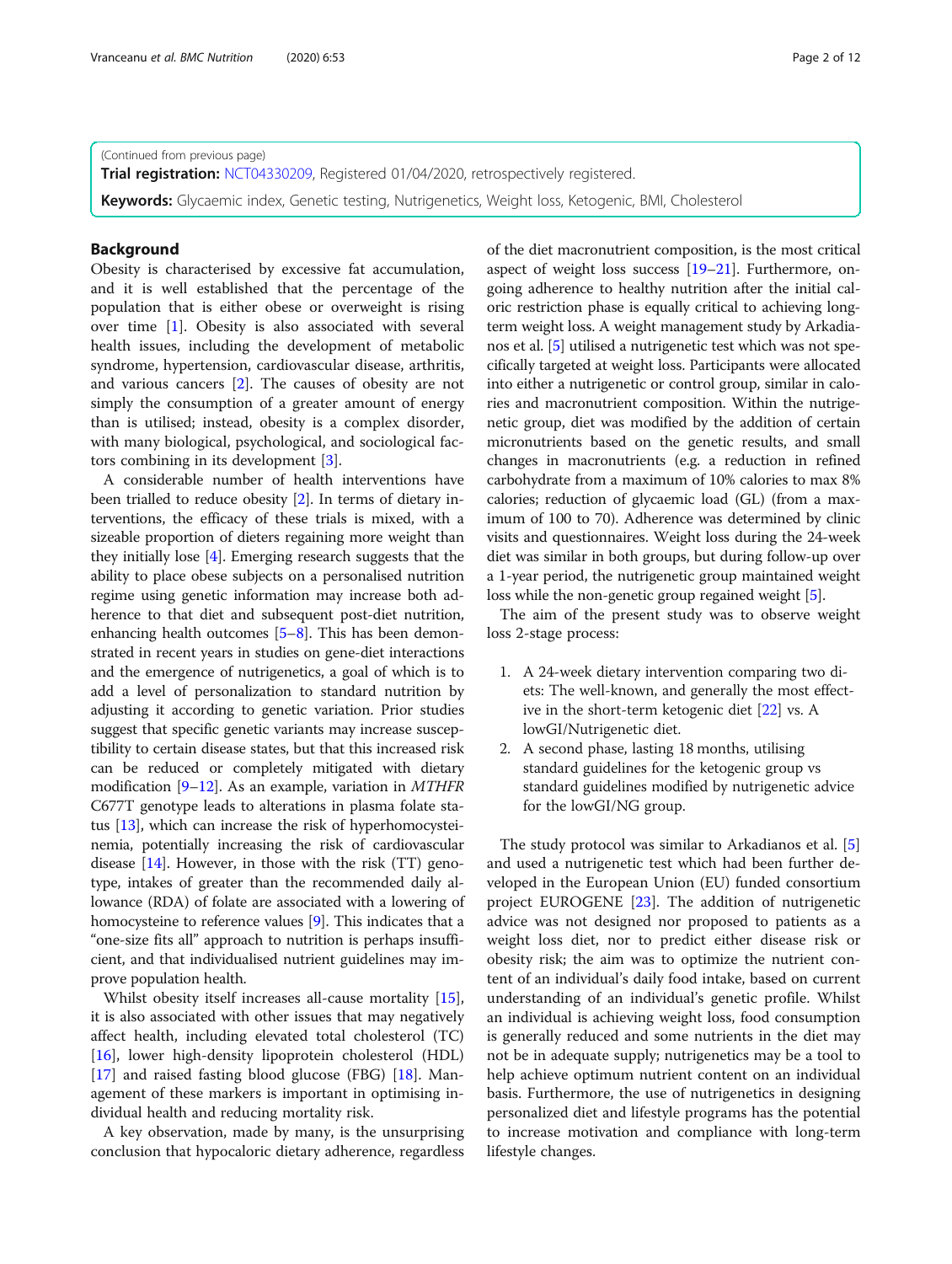(Continued from previous page)

**Trial registration:** [NCT04330209](https://clinicaltrials.gov/ct2/show/NCT04330209), Registered 01/04/2020, retrospectively registered.

Keywords: Glycaemic index, Genetic testing, Nutrigenetics, Weight loss, Ketogenic, BMI, Cholesterol

# Background

Obesity is characterised by excessive fat accumulation, and it is well established that the percentage of the population that is either obese or overweight is rising over time [[1\]](#page-10-0). Obesity is also associated with several health issues, including the development of metabolic syndrome, hypertension, cardiovascular disease, arthritis, and various cancers [\[2](#page-10-0)]. The causes of obesity are not simply the consumption of a greater amount of energy than is utilised; instead, obesity is a complex disorder, with many biological, psychological, and sociological factors combining in its development [[3\]](#page-10-0).

A considerable number of health interventions have been trialled to reduce obesity [\[2\]](#page-10-0). In terms of dietary interventions, the efficacy of these trials is mixed, with a sizeable proportion of dieters regaining more weight than they initially lose [\[4](#page-10-0)]. Emerging research suggests that the ability to place obese subjects on a personalised nutrition regime using genetic information may increase both adherence to that diet and subsequent post-diet nutrition, enhancing health outcomes [[5](#page-10-0)–[8](#page-10-0)]. This has been demonstrated in recent years in studies on gene-diet interactions and the emergence of nutrigenetics, a goal of which is to add a level of personalization to standard nutrition by adjusting it according to genetic variation. Prior studies suggest that specific genetic variants may increase susceptibility to certain disease states, but that this increased risk can be reduced or completely mitigated with dietary modification  $[9-12]$  $[9-12]$  $[9-12]$  $[9-12]$ . As an example, variation in *MTHFR* C677T genotype leads to alterations in plasma folate status [\[13\]](#page-10-0), which can increase the risk of hyperhomocysteinemia, potentially increasing the risk of cardiovascular disease  $[14]$  $[14]$  $[14]$ . However, in those with the risk  $(TT)$  genotype, intakes of greater than the recommended daily allowance (RDA) of folate are associated with a lowering of homocysteine to reference values [[9\]](#page-10-0). This indicates that a "one-size fits all" approach to nutrition is perhaps insufficient, and that individualised nutrient guidelines may improve population health.

Whilst obesity itself increases all-cause mortality [\[15](#page-10-0)], it is also associated with other issues that may negatively affect health, including elevated total cholesterol (TC) [[16\]](#page-10-0), lower high-density lipoprotein cholesterol (HDL) [[17\]](#page-10-0) and raised fasting blood glucose (FBG) [[18\]](#page-10-0). Management of these markers is important in optimising individual health and reducing mortality risk.

A key observation, made by many, is the unsurprising conclusion that hypocaloric dietary adherence, regardless of the diet macronutrient composition, is the most critical aspect of weight loss success [[19](#page-10-0)–[21\]](#page-10-0). Furthermore, ongoing adherence to healthy nutrition after the initial caloric restriction phase is equally critical to achieving longterm weight loss. A weight management study by Arkadianos et al. [[5\]](#page-10-0) utilised a nutrigenetic test which was not specifically targeted at weight loss. Participants were allocated into either a nutrigenetic or control group, similar in calories and macronutrient composition. Within the nutrigenetic group, diet was modified by the addition of certain micronutrients based on the genetic results, and small changes in macronutrients (e.g. a reduction in refined carbohydrate from a maximum of 10% calories to max 8% calories; reduction of glycaemic load (GL) (from a maximum of 100 to 70). Adherence was determined by clinic visits and questionnaires. Weight loss during the 24-week diet was similar in both groups, but during follow-up over a 1-year period, the nutrigenetic group maintained weight loss while the non-genetic group regained weight [[5\]](#page-10-0).

The aim of the present study was to observe weight loss 2-stage process:

- 1. A 24-week dietary intervention comparing two diets: The well-known, and generally the most effective in the short-term ketogenic diet [[22](#page-10-0)] vs. A lowGI/Nutrigenetic diet.
- 2. A second phase, lasting 18 months, utilising standard guidelines for the ketogenic group vs standard guidelines modified by nutrigenetic advice for the lowGI/NG group.

The study protocol was similar to Arkadianos et al. [\[5](#page-10-0)] and used a nutrigenetic test which had been further developed in the European Union (EU) funded consortium project EUROGENE [[23\]](#page-11-0). The addition of nutrigenetic advice was not designed nor proposed to patients as a weight loss diet, nor to predict either disease risk or obesity risk; the aim was to optimize the nutrient content of an individual's daily food intake, based on current understanding of an individual's genetic profile. Whilst an individual is achieving weight loss, food consumption is generally reduced and some nutrients in the diet may not be in adequate supply; nutrigenetics may be a tool to help achieve optimum nutrient content on an individual basis. Furthermore, the use of nutrigenetics in designing personalized diet and lifestyle programs has the potential to increase motivation and compliance with long-term lifestyle changes.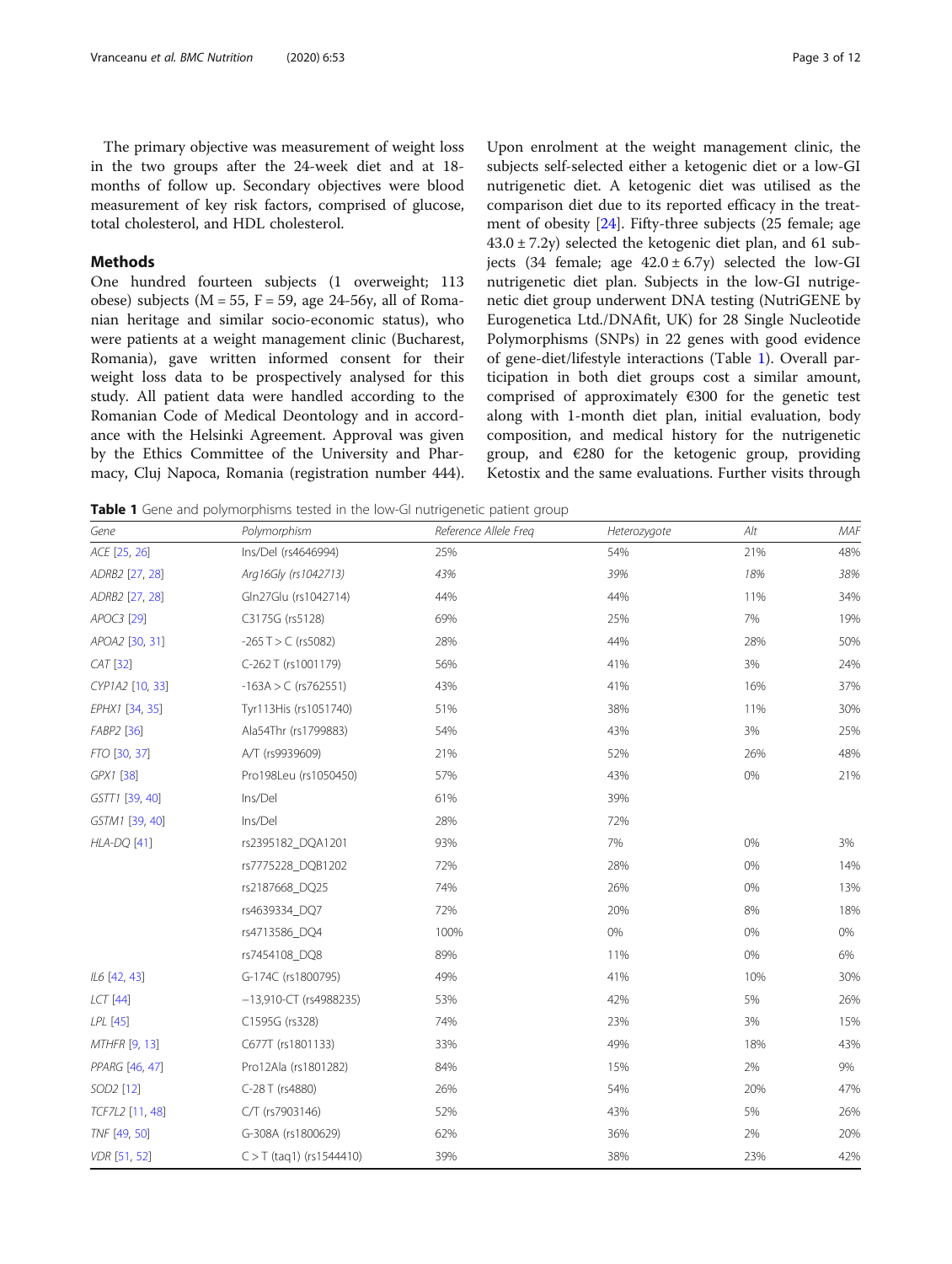<span id="page-2-0"></span>The primary objective was measurement of weight loss in the two groups after the 24-week diet and at 18 months of follow up. Secondary objectives were blood measurement of key risk factors, comprised of glucose, total cholesterol, and HDL cholesterol.

# **Methods**

One hundred fourteen subjects (1 overweight; 113 obese) subjects ( $M = 55$ ,  $F = 59$ , age 24-56y, all of Romanian heritage and similar socio-economic status), who were patients at a weight management clinic (Bucharest, Romania), gave written informed consent for their weight loss data to be prospectively analysed for this study. All patient data were handled according to the Romanian Code of Medical Deontology and in accordance with the Helsinki Agreement. Approval was given by the Ethics Committee of the University and Pharmacy, Cluj Napoca, Romania (registration number 444).

Upon enrolment at the weight management clinic, the subjects self-selected either a ketogenic diet or a low-GI nutrigenetic diet. A ketogenic diet was utilised as the comparison diet due to its reported efficacy in the treatment of obesity [[24\]](#page-11-0). Fifty-three subjects (25 female; age  $43.0 \pm 7.2y$ ) selected the ketogenic diet plan, and 61 subjects (34 female; age  $42.0 \pm 6.7$ y) selected the low-GI nutrigenetic diet plan. Subjects in the low-GI nutrigenetic diet group underwent DNA testing (NutriGENE by Eurogenetica Ltd./DNAfit, UK) for 28 Single Nucleotide Polymorphisms (SNPs) in 22 genes with good evidence of gene-diet/lifestyle interactions (Table 1). Overall participation in both diet groups cost a similar amount, comprised of approximately  $€300$  for the genetic test along with 1-month diet plan, initial evaluation, body composition, and medical history for the nutrigenetic group, and  $€280$  for the ketogenic group, providing Ketostix and the same evaluations. Further visits through

Table 1 Gene and polymorphisms tested in the low-GI nutrigenetic patient group

| Gene                  | Polymorphism               | Reference Allele Freq | Heterozygote | Alt | MAF |
|-----------------------|----------------------------|-----------------------|--------------|-----|-----|
| ACE [25, 26]          | Ins/Del (rs4646994)        | 25%                   | 54%          | 21% | 48% |
| ADRB2 [27, 28]        | Arg16Gly (rs1042713)       | 43%                   | 39%          | 18% | 38% |
| ADRB2 [27, 28]        | Gln27Glu (rs1042714)       | 44%                   | 44%          | 11% | 34% |
| APOC3 [29]            | C3175G (rs5128)            | 69%                   | 25%          | 7%  | 19% |
| APOA2 [30, 31]        | $-265$ T $>$ C (rs5082)    | 28%                   | 44%          | 28% | 50% |
| CAT [32]              | C-262 T (rs1001179)        | 56%                   | 41%          | 3%  | 24% |
| CYP1A2 [10, 33]       | $-163A > C$ (rs762551)     | 43%                   | 41%          | 16% | 37% |
| EPHX1 [34, 35]        | Tyr113His (rs1051740)      | 51%                   | 38%          | 11% | 30% |
| FABP2 [36]            | Ala54Thr (rs1799883)       | 54%                   | 43%          | 3%  | 25% |
| FTO [30, 37]          | A/T (rs9939609)            | 21%                   | 52%          | 26% | 48% |
| GPX1 [38]             | Pro198Leu (rs1050450)      | 57%                   | 43%          | 0%  | 21% |
| GSTT1 [39, 40]        | Ins/Del                    | 61%                   | 39%          |     |     |
| GSTM1 [39, 40]        | Ins/Del                    | 28%                   | 72%          |     |     |
| <b>HLA-DQ [41]</b>    | rs2395182_DQA1201          | 93%                   | 7%           | 0%  | 3%  |
|                       | rs7775228 DQB1202          | 72%                   | 28%          | 0%  | 14% |
|                       | rs2187668_DQ25             | 74%                   | 26%          | 0%  | 13% |
|                       | rs4639334 DQ7              | 72%                   | 20%          | 8%  | 18% |
|                       | rs4713586_DQ4              | 100%                  | 0%           | 0%  | 0%  |
|                       | rs7454108 DQ8              | 89%                   | 11%          | 0%  | 6%  |
| IL6 [42, 43]          | G-174C (rs1800795)         | 49%                   | 41%          | 10% | 30% |
| <b>LCT</b> [44]       | $-13,910$ -CT (rs4988235)  | 53%                   | 42%          | 5%  | 26% |
| LPL [45]              | C1595G (rs328)             | 74%                   | 23%          | 3%  | 15% |
| <b>MTHFR</b> [9, 13]  | C677T (rs1801133)          | 33%                   | 49%          | 18% | 43% |
| PPARG [46, 47]        | Pro12Ala (rs1801282)       | 84%                   | 15%          | 2%  | 9%  |
| SOD <sub>2</sub> [12] | C-28 T (rs4880)            | 26%                   | 54%          | 20% | 47% |
| TCF7L2 [11, 48]       | C/T (rs7903146)            | 52%                   | 43%          | 5%  | 26% |
| TNF [49, 50]          | G-308A (rs1800629)         | 62%                   | 36%          | 2%  | 20% |
| VDR [51, 52]          | $C > T$ (taq1) (rs1544410) | 39%                   | 38%          | 23% | 42% |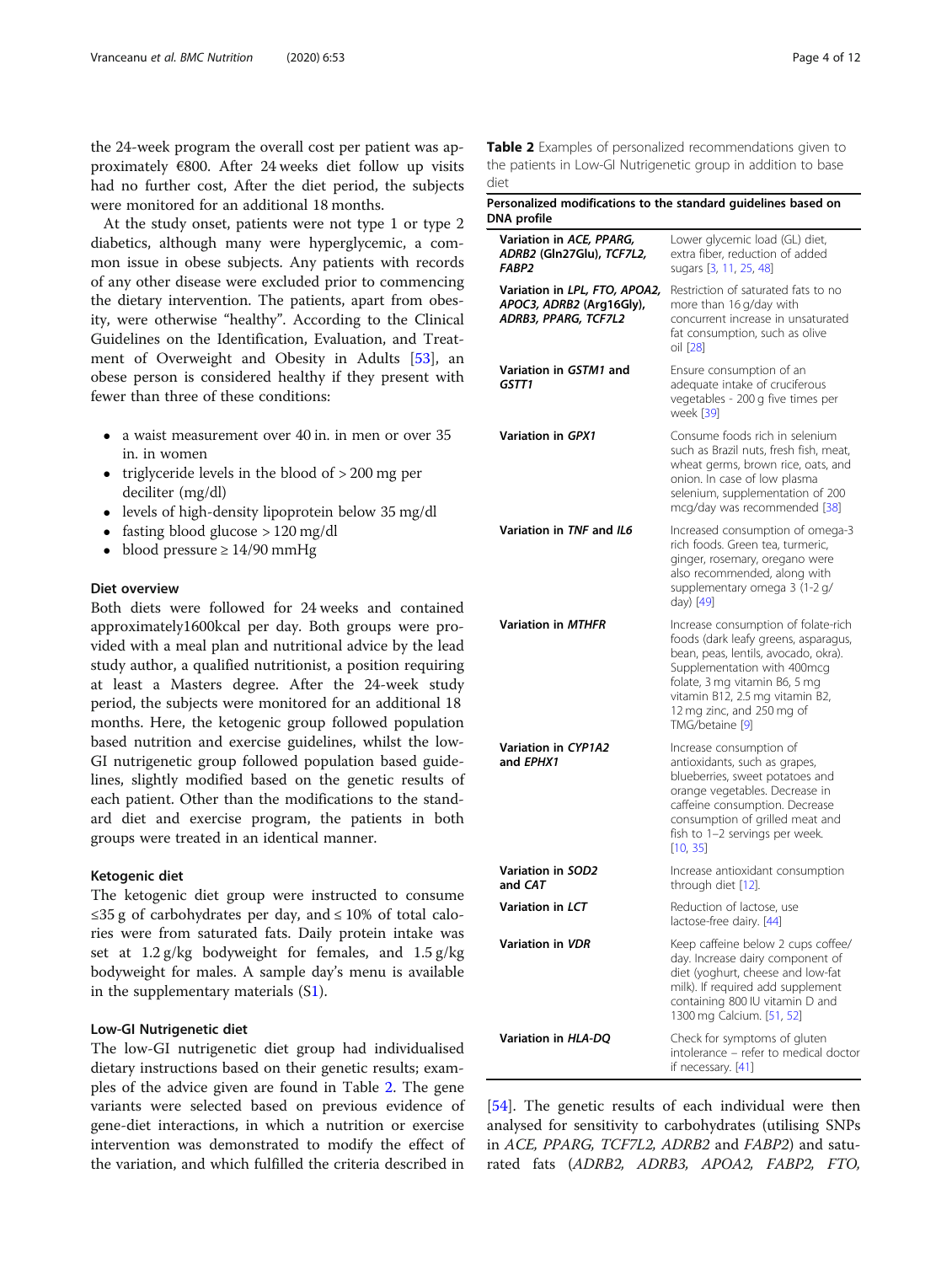the 24-week program the overall cost per patient was approximately €800. After 24 weeks diet follow up visits had no further cost, After the diet period, the subjects were monitored for an additional 18 months.

At the study onset, patients were not type 1 or type 2 diabetics, although many were hyperglycemic, a common issue in obese subjects. Any patients with records of any other disease were excluded prior to commencing the dietary intervention. The patients, apart from obesity, were otherwise "healthy". According to the Clinical Guidelines on the Identification, Evaluation, and Treatment of Overweight and Obesity in Adults [[53](#page-11-0)], an obese person is considered healthy if they present with fewer than three of these conditions:

- a waist measurement over 40 in. in men or over 35 in. in women
- triglyceride levels in the blood of  $> 200$  mg per deciliter (mg/dl)
- levels of high-density lipoprotein below 35 mg/dl
- fasting blood glucose > 120 mg/dl
- blood pressure ≥ 14/90 mmHg

# Diet overview

Both diets were followed for 24 weeks and contained approximately1600kcal per day. Both groups were provided with a meal plan and nutritional advice by the lead study author, a qualified nutritionist, a position requiring at least a Masters degree. After the 24-week study period, the subjects were monitored for an additional 18 months. Here, the ketogenic group followed population based nutrition and exercise guidelines, whilst the low-GI nutrigenetic group followed population based guidelines, slightly modified based on the genetic results of each patient. Other than the modifications to the standard diet and exercise program, the patients in both groups were treated in an identical manner.

## Ketogenic diet

The ketogenic diet group were instructed to consume ≤35 g of carbohydrates per day, and ≤ 10% of total calories were from saturated fats. Daily protein intake was set at 1.2 g/kg bodyweight for females, and 1.5 g/kg bodyweight for males. A sample day's menu is available in the supplementary materials (S[1\)](#page-9-0).

# Low-GI Nutrigenetic diet

The low-GI nutrigenetic diet group had individualised dietary instructions based on their genetic results; examples of the advice given are found in Table 2. The gene variants were selected based on previous evidence of gene-diet interactions, in which a nutrition or exercise intervention was demonstrated to modify the effect of the variation, and which fulfilled the criteria described in

Table 2 Examples of personalized recommendations given to the patients in Low-GI Nutrigenetic group in addition to base diet

| Personalized modifications to the standard guidelines based on<br>DNA profile     |                                                                                                                                                                                                                                                                        |
|-----------------------------------------------------------------------------------|------------------------------------------------------------------------------------------------------------------------------------------------------------------------------------------------------------------------------------------------------------------------|
| Variation in ACE, PPARG,<br>ADRB2 (Gln27Glu), TCF7L2,<br>FABP <sub>2</sub>        | Lower glycemic load (GL) diet,<br>extra fiber, reduction of added<br>sugars [3, 11, 25, 48]                                                                                                                                                                            |
| Variation in LPL, FTO, APOA2,<br>APOC3, ADRB2 (Arg16Gly),<br>ADRB3, PPARG, TCF7L2 | Restriction of saturated fats to no<br>more than 16 g/day with<br>concurrent increase in unsaturated<br>fat consumption, such as olive<br>oil [28]                                                                                                                     |
| Variation in GSTM1 and<br>GSTT1                                                   | Ensure consumption of an<br>adequate intake of cruciferous<br>vegetables - 200 g five times per<br>week [39]                                                                                                                                                           |
| Variation in GPX1                                                                 | Consume foods rich in selenium<br>such as Brazil nuts, fresh fish, meat,<br>wheat germs, brown rice, oats, and<br>onion. In case of low plasma<br>selenium, supplementation of 200<br>mcg/day was recommended [38]                                                     |
| Variation in TNF and IL6                                                          | Increased consumption of omega-3<br>rich foods. Green tea, turmeric,<br>ginger, rosemary, oregano were<br>also recommended, along with<br>supplementary omega 3 (1-2 g/<br>day) [49]                                                                                   |
| <b>Variation in MTHFR</b>                                                         | Increase consumption of folate-rich<br>foods (dark leafy greens, asparagus,<br>bean, peas, lentils, avocado, okra).<br>Supplementation with 400mcg<br>folate, 3 mg vitamin B6, 5 mg<br>vitamin B12, 2.5 mg vitamin B2,<br>12 mg zinc, and 250 mg of<br>TMG/betaine [9] |
| <b>Variation in CYP1A2</b><br>and EPHX1                                           | Increase consumption of<br>antioxidants, such as grapes,<br>blueberries, sweet potatoes and<br>orange vegetables. Decrease in<br>caffeine consumption. Decrease<br>consumption of grilled meat and<br>fish to 1-2 servings per week.<br>[10, 35]                       |
| Variation in SOD2<br>and CAT                                                      | Increase antioxidant consumption<br>through diet [12].                                                                                                                                                                                                                 |
| Variation in LCT                                                                  | Reduction of lactose, use<br>lactose-free dairy. [44]                                                                                                                                                                                                                  |
| <b>Variation in VDR</b>                                                           | Keep caffeine below 2 cups coffee/<br>day. Increase dairy component of<br>diet (yoghurt, cheese and low-fat<br>milk). If required add supplement<br>containing 800 IU vitamin D and<br>1300 mg Calcium. [51, 52]                                                       |
| Variation in HLA-DO                                                               | Check for symptoms of gluten<br>intolerance - refer to medical doctor<br>if necessary. [41]                                                                                                                                                                            |

[[54\]](#page-11-0). The genetic results of each individual were then analysed for sensitivity to carbohydrates (utilising SNPs in ACE, PPARG, TCF7L2, ADRB2 and FABP2) and saturated fats (ADRB2, ADRB3, APOA2, FABP2, FTO,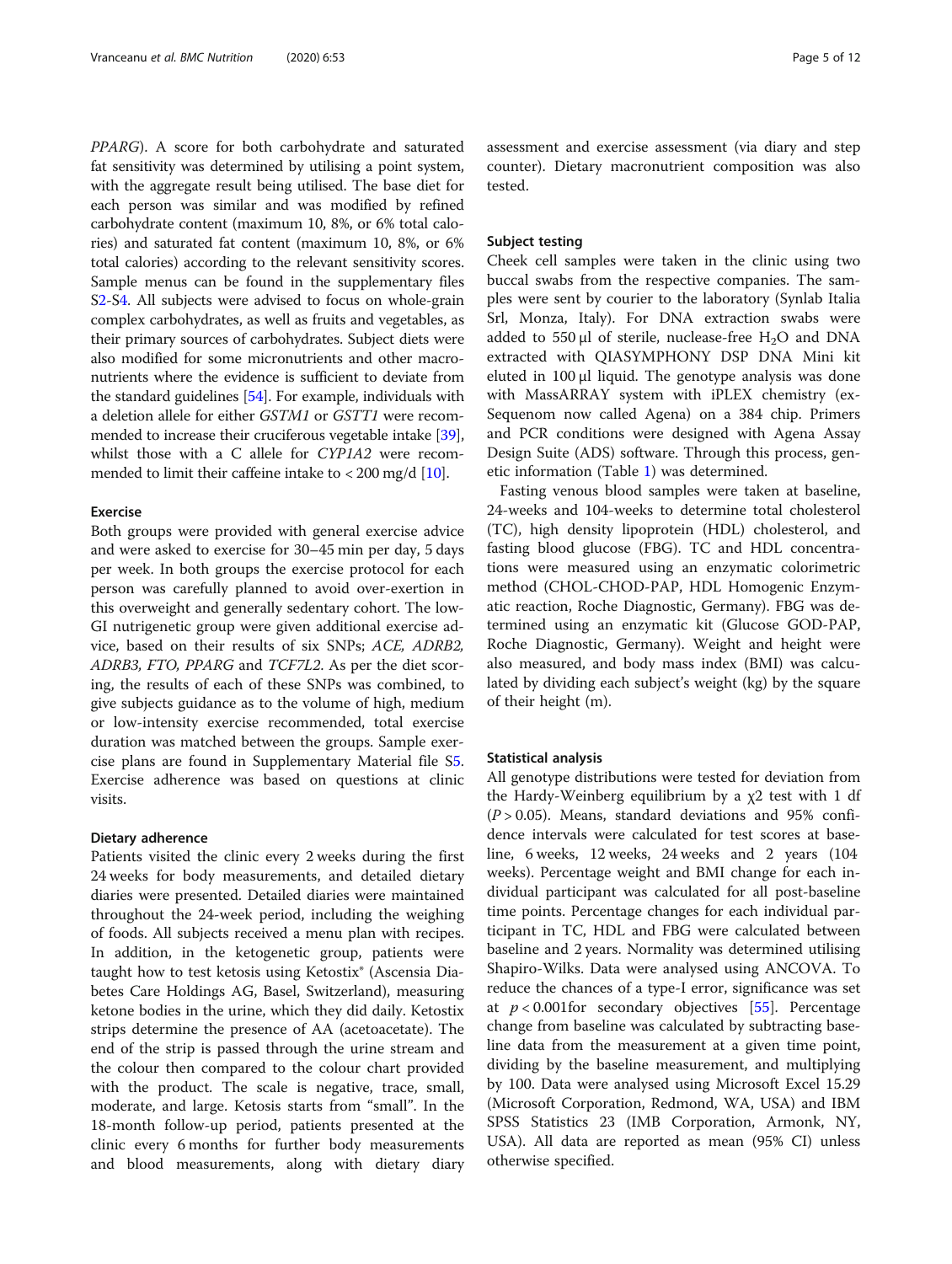PPARG). A score for both carbohydrate and saturated fat sensitivity was determined by utilising a point system, with the aggregate result being utilised. The base diet for each person was similar and was modified by refined carbohydrate content (maximum 10, 8%, or 6% total calories) and saturated fat content (maximum 10, 8%, or 6% total calories) according to the relevant sensitivity scores. Sample menus can be found in the supplementary files S[2](#page-9-0)-S[4.](#page-9-0) All subjects were advised to focus on whole-grain complex carbohydrates, as well as fruits and vegetables, as their primary sources of carbohydrates. Subject diets were also modified for some micronutrients and other macronutrients where the evidence is sufficient to deviate from the standard guidelines [\[54\]](#page-11-0). For example, individuals with a deletion allele for either GSTM1 or GSTT1 were recommended to increase their cruciferous vegetable intake [[39](#page-11-0)], whilst those with a C allele for CYP1A2 were recommended to limit their caffeine intake to < 200 mg/d [\[10](#page-10-0)].

# Exercise

Both groups were provided with general exercise advice and were asked to exercise for 30–45 min per day, 5 days per week. In both groups the exercise protocol for each person was carefully planned to avoid over-exertion in this overweight and generally sedentary cohort. The low-GI nutrigenetic group were given additional exercise advice, based on their results of six SNPs; ACE, ADRB2, ADRB3, FTO, PPARG and TCF7L2. As per the diet scoring, the results of each of these SNPs was combined, to give subjects guidance as to the volume of high, medium or low-intensity exercise recommended, total exercise duration was matched between the groups. Sample exercise plans are found in Supplementary Material file S[5](#page-9-0). Exercise adherence was based on questions at clinic visits.

# Dietary adherence

Patients visited the clinic every 2 weeks during the first 24 weeks for body measurements, and detailed dietary diaries were presented. Detailed diaries were maintained throughout the 24-week period, including the weighing of foods. All subjects received a menu plan with recipes. In addition, in the ketogenetic group, patients were taught how to test ketosis using Ketostix® (Ascensia Diabetes Care Holdings AG, Basel, Switzerland), measuring ketone bodies in the urine, which they did daily. Ketostix strips determine the presence of AA (acetoacetate). The end of the strip is passed through the urine stream and the colour then compared to the colour chart provided with the product. The scale is negative, trace, small, moderate, and large. Ketosis starts from "small". In the 18-month follow-up period, patients presented at the clinic every 6 months for further body measurements and blood measurements, along with dietary diary assessment and exercise assessment (via diary and step counter). Dietary macronutrient composition was also tested.

# Subject testing

Cheek cell samples were taken in the clinic using two buccal swabs from the respective companies. The samples were sent by courier to the laboratory (Synlab Italia Srl, Monza, Italy). For DNA extraction swabs were added to 550  $\mu$ l of sterile, nuclease-free H<sub>2</sub>O and DNA extracted with QIASYMPHONY DSP DNA Mini kit eluted in 100 μl liquid. The genotype analysis was done with MassARRAY system with iPLEX chemistry (ex-Sequenom now called Agena) on a 384 chip. Primers and PCR conditions were designed with Agena Assay Design Suite (ADS) software. Through this process, genetic information (Table [1\)](#page-2-0) was determined.

Fasting venous blood samples were taken at baseline, 24-weeks and 104-weeks to determine total cholesterol (TC), high density lipoprotein (HDL) cholesterol, and fasting blood glucose (FBG). TC and HDL concentrations were measured using an enzymatic colorimetric method (CHOL-CHOD-PAP, HDL Homogenic Enzymatic reaction, Roche Diagnostic, Germany). FBG was determined using an enzymatic kit (Glucose GOD-PAP, Roche Diagnostic, Germany). Weight and height were also measured, and body mass index (BMI) was calculated by dividing each subject's weight (kg) by the square of their height (m).

# Statistical analysis

All genotype distributions were tested for deviation from the Hardy-Weinberg equilibrium by a  $\chi$ 2 test with 1 df  $(P > 0.05)$ . Means, standard deviations and 95% confidence intervals were calculated for test scores at baseline, 6 weeks, 12 weeks, 24 weeks and 2 years (104 weeks). Percentage weight and BMI change for each individual participant was calculated for all post-baseline time points. Percentage changes for each individual participant in TC, HDL and FBG were calculated between baseline and 2 years. Normality was determined utilising Shapiro-Wilks. Data were analysed using ANCOVA. To reduce the chances of a type-I error, significance was set at  $p < 0.001$  for secondary objectives [[55\]](#page-11-0). Percentage change from baseline was calculated by subtracting baseline data from the measurement at a given time point, dividing by the baseline measurement, and multiplying by 100. Data were analysed using Microsoft Excel 15.29 (Microsoft Corporation, Redmond, WA, USA) and IBM SPSS Statistics 23 (IMB Corporation, Armonk, NY, USA). All data are reported as mean (95% CI) unless otherwise specified.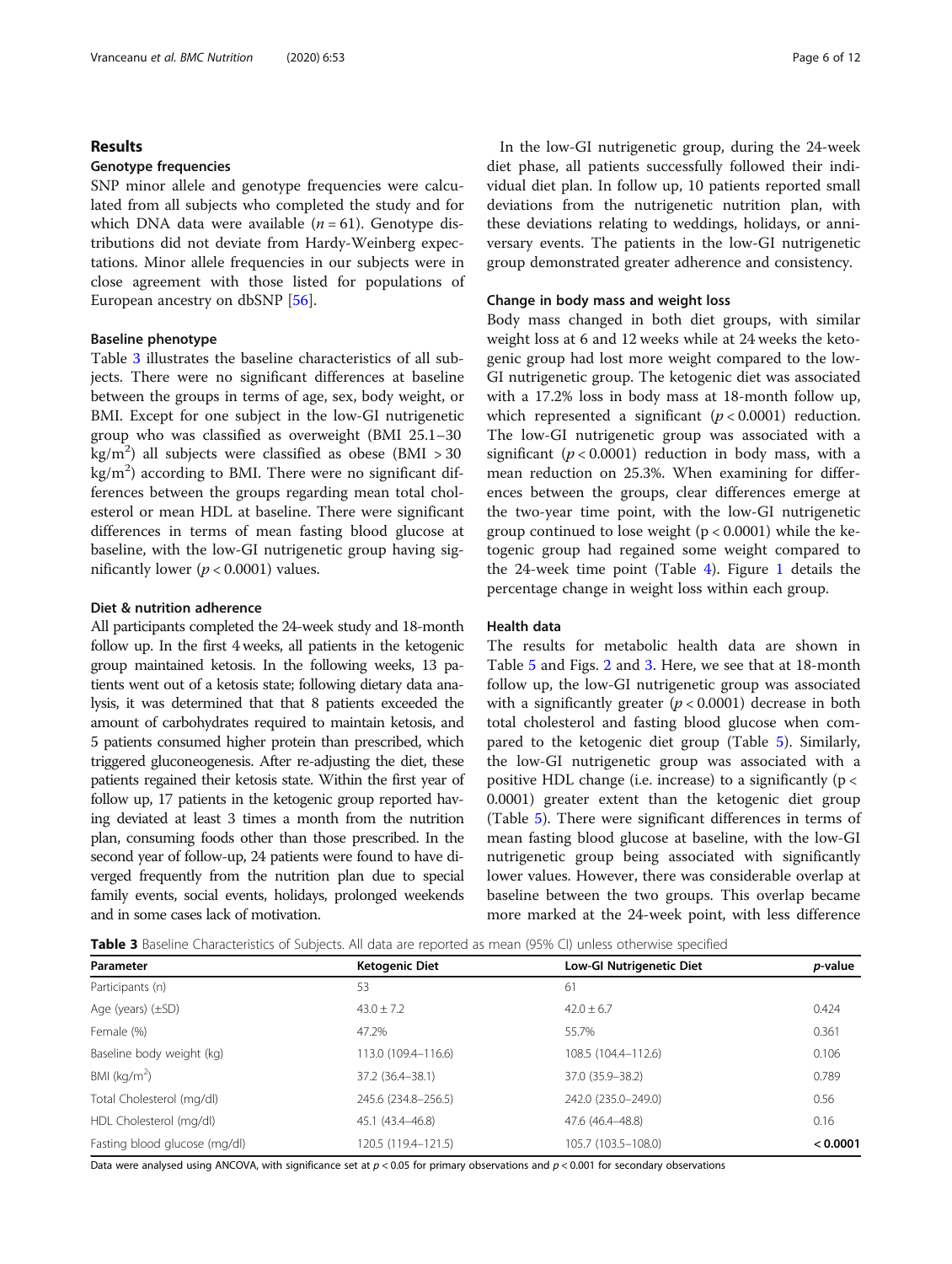# Results

# Genotype frequencies

SNP minor allele and genotype frequencies were calculated from all subjects who completed the study and for which DNA data were available  $(n = 61)$ . Genotype distributions did not deviate from Hardy-Weinberg expectations. Minor allele frequencies in our subjects were in close agreement with those listed for populations of European ancestry on dbSNP [\[56\]](#page-11-0).

# Baseline phenotype

Table 3 illustrates the baseline characteristics of all subjects. There were no significant differences at baseline between the groups in terms of age, sex, body weight, or BMI. Except for one subject in the low-GI nutrigenetic group who was classified as overweight (BMI 25.1–30  $\text{kg/m}^2$ ) all subjects were classified as obese (BMI > 30  $\text{kg/m}^2$ ) according to BMI. There were no significant differences between the groups regarding mean total cholesterol or mean HDL at baseline. There were significant differences in terms of mean fasting blood glucose at baseline, with the low-GI nutrigenetic group having significantly lower ( $p < 0.0001$ ) values.

# Diet & nutrition adherence

All participants completed the 24-week study and 18-month follow up. In the first 4 weeks, all patients in the ketogenic group maintained ketosis. In the following weeks, 13 patients went out of a ketosis state; following dietary data analysis, it was determined that that 8 patients exceeded the amount of carbohydrates required to maintain ketosis, and 5 patients consumed higher protein than prescribed, which triggered gluconeogenesis. After re-adjusting the diet, these patients regained their ketosis state. Within the first year of follow up, 17 patients in the ketogenic group reported having deviated at least 3 times a month from the nutrition plan, consuming foods other than those prescribed. In the second year of follow-up, 24 patients were found to have diverged frequently from the nutrition plan due to special family events, social events, holidays, prolonged weekends and in some cases lack of motivation.

In the low-GI nutrigenetic group, during the 24-week diet phase, all patients successfully followed their individual diet plan. In follow up, 10 patients reported small deviations from the nutrigenetic nutrition plan, with these deviations relating to weddings, holidays, or anniversary events. The patients in the low-GI nutrigenetic group demonstrated greater adherence and consistency.

#### Change in body mass and weight loss

Body mass changed in both diet groups, with similar weight loss at 6 and 12 weeks while at 24 weeks the ketogenic group had lost more weight compared to the low-GI nutrigenetic group. The ketogenic diet was associated with a 17.2% loss in body mass at 18-month follow up, which represented a significant ( $p < 0.0001$ ) reduction. The low-GI nutrigenetic group was associated with a significant ( $p < 0.0001$ ) reduction in body mass, with a mean reduction on 25.3%. When examining for differences between the groups, clear differences emerge at the two-year time point, with the low-GI nutrigenetic group continued to lose weight  $(p < 0.0001)$  while the ketogenic group had regained some weight compared to the 24-week time point (Table [4](#page-6-0)). Figure [1](#page-6-0) details the percentage change in weight loss within each group.

# Health data

The results for metabolic health data are shown in Table [5](#page-7-0) and Figs. [2](#page-8-0) and [3.](#page-9-0) Here, we see that at 18-month follow up, the low-GI nutrigenetic group was associated with a significantly greater  $(p < 0.0001)$  decrease in both total cholesterol and fasting blood glucose when compared to the ketogenic diet group (Table [5\)](#page-7-0). Similarly, the low-GI nutrigenetic group was associated with a positive HDL change (i.e. increase) to a significantly ( $p <$ 0.0001) greater extent than the ketogenic diet group (Table [5](#page-7-0)). There were significant differences in terms of mean fasting blood glucose at baseline, with the low-GI nutrigenetic group being associated with significantly lower values. However, there was considerable overlap at baseline between the two groups. This overlap became more marked at the 24-week point, with less difference

Table 3 Baseline Characteristics of Subjects. All data are reported as mean (95% CI) unless otherwise specified

| <b>Ketogenic Diet</b> | <b>Low-GI Nutrigenetic Diet</b> | <i>p</i> -value |
|-----------------------|---------------------------------|-----------------|
| 53                    | 61                              |                 |
| $43.0 \pm 7.2$        | $42.0 \pm 6.7$                  | 0.424           |
| 47.2%                 | 55.7%                           | 0.361           |
| 113.0 (109.4-116.6)   | 108.5 (104.4-112.6)             | 0.106           |
| 37.2 (36.4-38.1)      | 37.0 (35.9-38.2)                | 0.789           |
| 245.6 (234.8-256.5)   | 242.0 (235.0-249.0)             | 0.56            |
| 45.1 (43.4–46.8)      | 47.6 (46.4-48.8)                | 0.16            |
| 120.5 (119.4-121.5)   | 105.7 (103.5-108.0)             | < 0.0001        |
|                       |                                 |                 |

Data were analysed using ANCOVA, with significance set at  $p < 0.05$  for primary observations and  $p < 0.001$  for secondary observations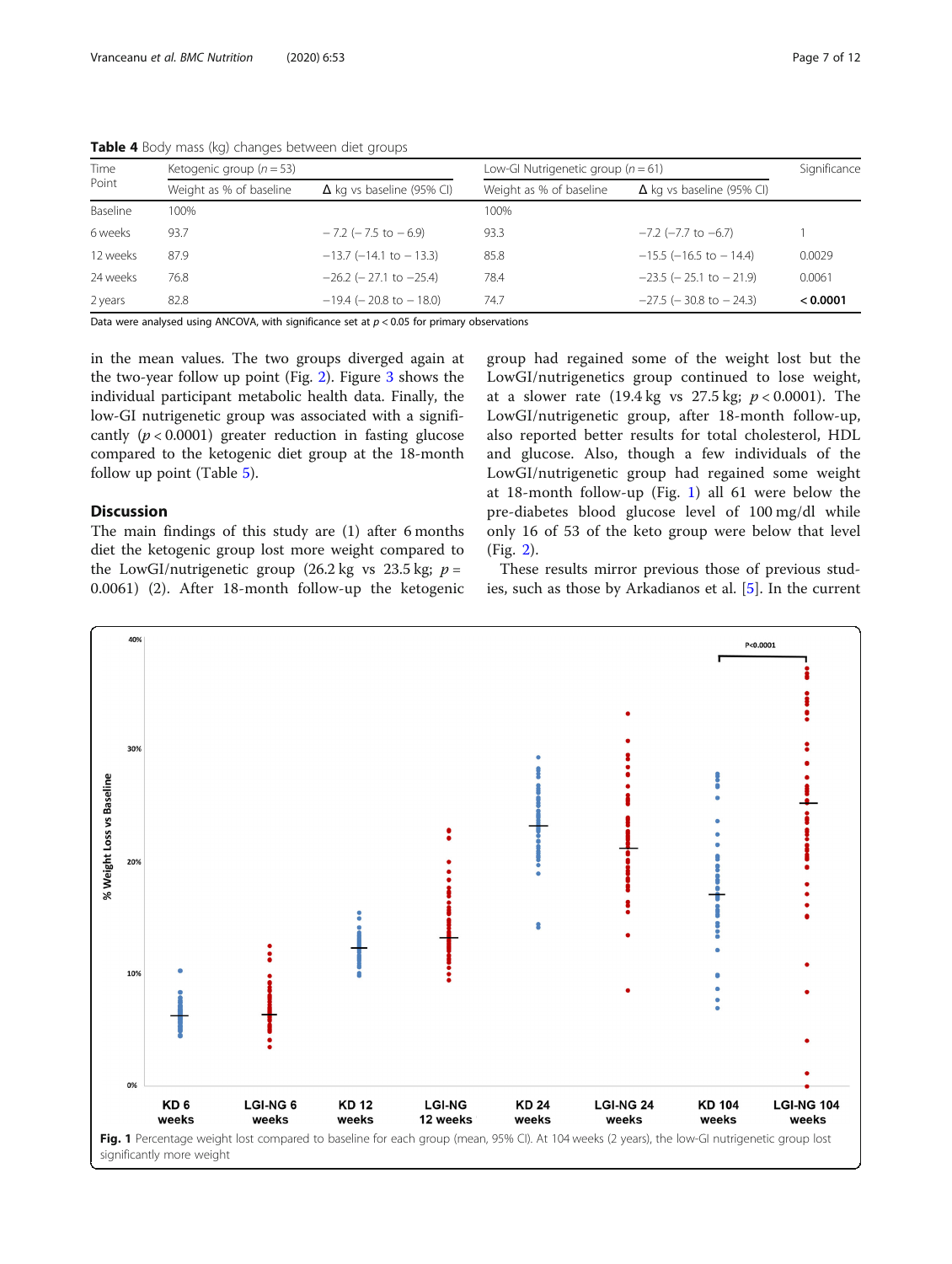| Time<br>Point | Ketogenic group ( $n = 53$ )                                |                                | Low-GI Nutrigenetic group ( $n = 61$ )                      | Significance                   |          |
|---------------|-------------------------------------------------------------|--------------------------------|-------------------------------------------------------------|--------------------------------|----------|
|               | Weight as % of baseline<br>$\Delta$ kg vs baseline (95% CI) |                                | Weight as % of baseline<br>$\Delta$ kg vs baseline (95% CI) |                                |          |
| Baseline      | 100%                                                        |                                | 100%                                                        |                                |          |
| 6 weeks       | 93.7                                                        | $-7.2$ ( $-7.5$ to $-6.9$ )    | 93.3                                                        | $-7.2$ ( $-7.7$ to $-6.7$ )    |          |
| 12 weeks      | 87.9                                                        | $-13.7$ ( $-14.1$ to $-13.3$ ) | 85.8                                                        | $-15.5$ (-16.5 to -14.4)       | 0.0029   |
| 24 weeks      | 76.8                                                        | $-26.2$ ( $-27.1$ to $-25.4$ ) | 78.4                                                        | $-23.5$ ( $-25.1$ to $-21.9$ ) | 0.0061   |
| 2 years       | 82.8                                                        | $-19.4$ ( $-20.8$ to $-18.0$ ) | 74.7                                                        | $-27.5$ ( $-30.8$ to $-24.3$ ) | < 0.0001 |

<span id="page-6-0"></span>Table 4 Body mass (kg) changes between diet groups

Data were analysed using ANCOVA, with significance set at  $p < 0.05$  for primary observations

in the mean values. The two groups diverged again at the two-year follow up point (Fig. [2](#page-8-0)). Figure [3](#page-9-0) shows the individual participant metabolic health data. Finally, the low-GI nutrigenetic group was associated with a significantly  $(p < 0.0001)$  greater reduction in fasting glucose compared to the ketogenic diet group at the 18-month follow up point (Table [5\)](#page-7-0).

# Discussion

The main findings of this study are (1) after 6 months diet the ketogenic group lost more weight compared to the LowGI/nutrigenetic group (26.2 kg vs 23.5 kg;  $p =$ 0.0061) (2). After 18-month follow-up the ketogenic

group had regained some of the weight lost but the LowGI/nutrigenetics group continued to lose weight, at a slower rate (19.4 kg vs  $27.5$  kg;  $p < 0.0001$ ). The LowGI/nutrigenetic group, after 18-month follow-up, also reported better results for total cholesterol, HDL and glucose. Also, though a few individuals of the LowGI/nutrigenetic group had regained some weight at 18-month follow-up (Fig. 1) all 61 were below the pre-diabetes blood glucose level of 100 mg/dl while only 16 of 53 of the keto group were below that level (Fig. [2\)](#page-8-0).

These results mirror previous those of previous studies, such as those by Arkadianos et al. [\[5](#page-10-0)]. In the current

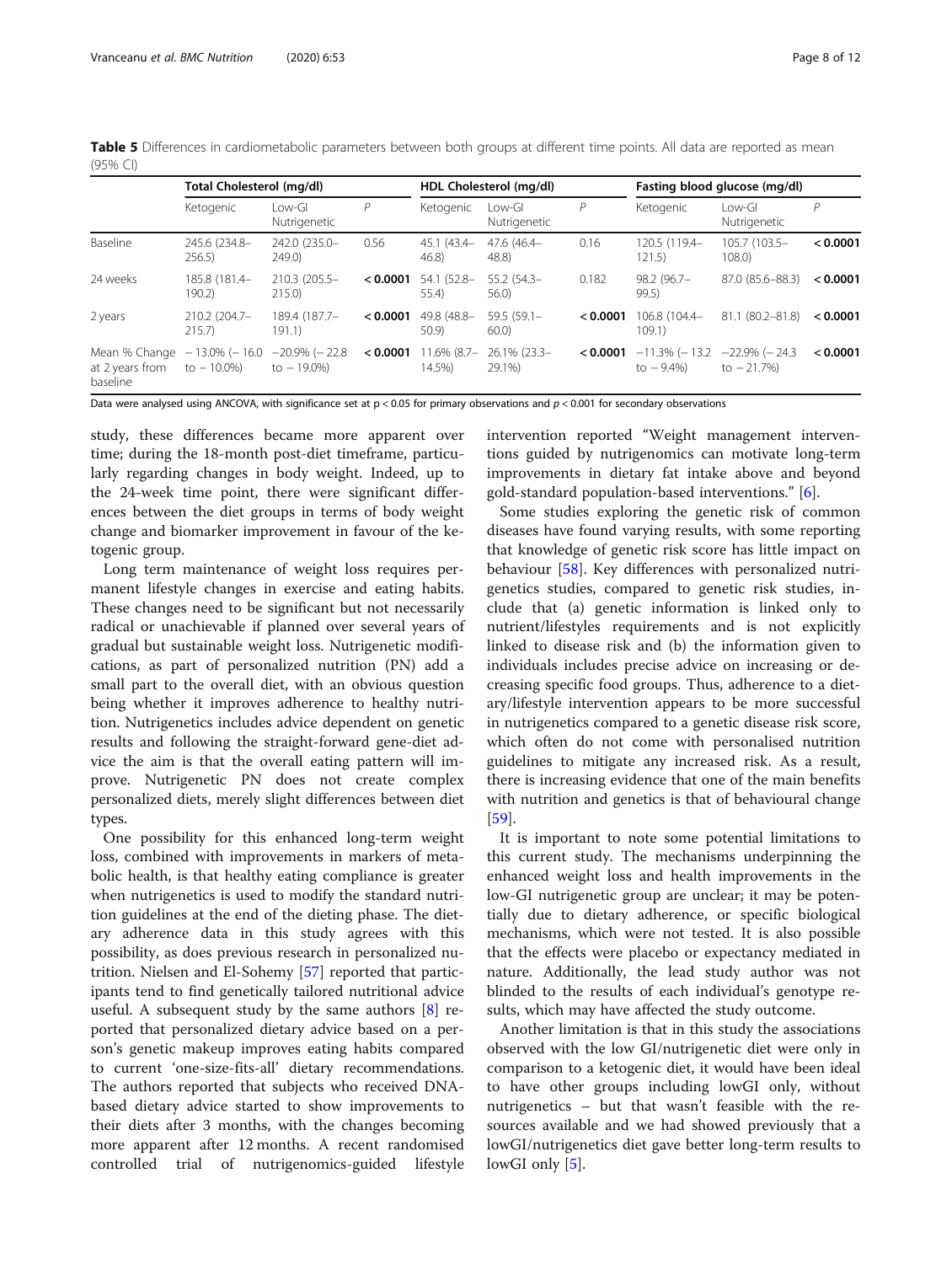|                                              | Total Cholesterol (mg/dl)          |                                     |          | HDL Cholesterol (mg/dl)  |                          | Fasting blood glucose (mg/dl) |                                 |                                 |          |
|----------------------------------------------|------------------------------------|-------------------------------------|----------|--------------------------|--------------------------|-------------------------------|---------------------------------|---------------------------------|----------|
|                                              | Ketogenic                          | Low-GI<br>Nutrigenetic              | P        | Ketogenic                | Low-GI<br>Nutrigenetic   | Р                             | Ketogenic                       | Low-GI<br>Nutrigenetic          | Р        |
| Baseline                                     | 245.6 (234.8-<br>256.5             | 242.0 (235.0-<br>249.0              | 0.56     | $45.1(43.4 -$<br>46.8    | 47.6 (46.4-<br>48.8)     | 0.16                          | 120.5 (119.4-<br>121.5          | 105.7 (103.5-<br>108.0          | < 0.0001 |
| 24 weeks                                     | 185.8 (181.4-<br>190.2)            | 210.3 (205.5-<br>215.0              | < 0.0001 | 54.1 (52.8-<br>55.4      | $55.2(54.3 -$<br>56.0)   | 0.182                         | $98.2(96.7 -$<br>99.5           | 87.0 (85.6-88.3)                | < 0.0001 |
| 2 years                                      | 210.2 (204.7-<br>215.7             | 189.4 (187.7-<br>191.1)             | < 0.0001 | 49.8 (48.8–<br>50.9      | $59.5(59.1 -$<br>60.0    | < 0.0001                      | 106.8 (104.4-<br>109.1)         | 81.1 (80.2-81.8)                | < 0.0001 |
| Mean % Change<br>at 2 years from<br>baseline | $-13.0\%$ (-16.0<br>to $-10.0\%$ ) | $-20.9\%$ ( $-22.8$<br>to $-19.0\%$ | < 0.0001 | $11.6\%$ (8.7-<br>14.5%) | 26.1% (23.3-<br>$29.1\%$ | < 0.0001                      | $-11.3\%$ (-13.2)<br>to $-9.4%$ | $-22.9\%$ (-24.3<br>to $-21.7%$ | < 0.0001 |

<span id="page-7-0"></span>Table 5 Differences in cardiometabolic parameters between both groups at different time points. All data are reported as mean (95% CI)

Data were analysed using ANCOVA, with significance set at  $p < 0.05$  for primary observations and  $p < 0.001$  for secondary observations

study, these differences became more apparent over time; during the 18-month post-diet timeframe, particularly regarding changes in body weight. Indeed, up to the 24-week time point, there were significant differences between the diet groups in terms of body weight change and biomarker improvement in favour of the ketogenic group.

Long term maintenance of weight loss requires permanent lifestyle changes in exercise and eating habits. These changes need to be significant but not necessarily radical or unachievable if planned over several years of gradual but sustainable weight loss. Nutrigenetic modifications, as part of personalized nutrition (PN) add a small part to the overall diet, with an obvious question being whether it improves adherence to healthy nutrition. Nutrigenetics includes advice dependent on genetic results and following the straight-forward gene-diet advice the aim is that the overall eating pattern will improve. Nutrigenetic PN does not create complex personalized diets, merely slight differences between diet types.

One possibility for this enhanced long-term weight loss, combined with improvements in markers of metabolic health, is that healthy eating compliance is greater when nutrigenetics is used to modify the standard nutrition guidelines at the end of the dieting phase. The dietary adherence data in this study agrees with this possibility, as does previous research in personalized nutrition. Nielsen and El-Sohemy [\[57\]](#page-11-0) reported that participants tend to find genetically tailored nutritional advice useful. A subsequent study by the same authors [[8\]](#page-10-0) reported that personalized dietary advice based on a person's genetic makeup improves eating habits compared to current 'one-size-fits-all' dietary recommendations. The authors reported that subjects who received DNAbased dietary advice started to show improvements to their diets after 3 months, with the changes becoming more apparent after 12 months. A recent randomised controlled trial of nutrigenomics-guided lifestyle intervention reported "Weight management interventions guided by nutrigenomics can motivate long-term improvements in dietary fat intake above and beyond gold-standard population-based interventions." [\[6\]](#page-10-0).

Some studies exploring the genetic risk of common diseases have found varying results, with some reporting that knowledge of genetic risk score has little impact on behaviour [\[58\]](#page-11-0). Key differences with personalized nutrigenetics studies, compared to genetic risk studies, include that (a) genetic information is linked only to nutrient/lifestyles requirements and is not explicitly linked to disease risk and (b) the information given to individuals includes precise advice on increasing or decreasing specific food groups. Thus, adherence to a dietary/lifestyle intervention appears to be more successful in nutrigenetics compared to a genetic disease risk score, which often do not come with personalised nutrition guidelines to mitigate any increased risk. As a result, there is increasing evidence that one of the main benefits with nutrition and genetics is that of behavioural change [[59\]](#page-11-0).

It is important to note some potential limitations to this current study. The mechanisms underpinning the enhanced weight loss and health improvements in the low-GI nutrigenetic group are unclear; it may be potentially due to dietary adherence, or specific biological mechanisms, which were not tested. It is also possible that the effects were placebo or expectancy mediated in nature. Additionally, the lead study author was not blinded to the results of each individual's genotype results, which may have affected the study outcome.

Another limitation is that in this study the associations observed with the low GI/nutrigenetic diet were only in comparison to a ketogenic diet, it would have been ideal to have other groups including lowGI only, without nutrigenetics – but that wasn't feasible with the resources available and we had showed previously that a lowGI/nutrigenetics diet gave better long-term results to lowGI only [\[5](#page-10-0)].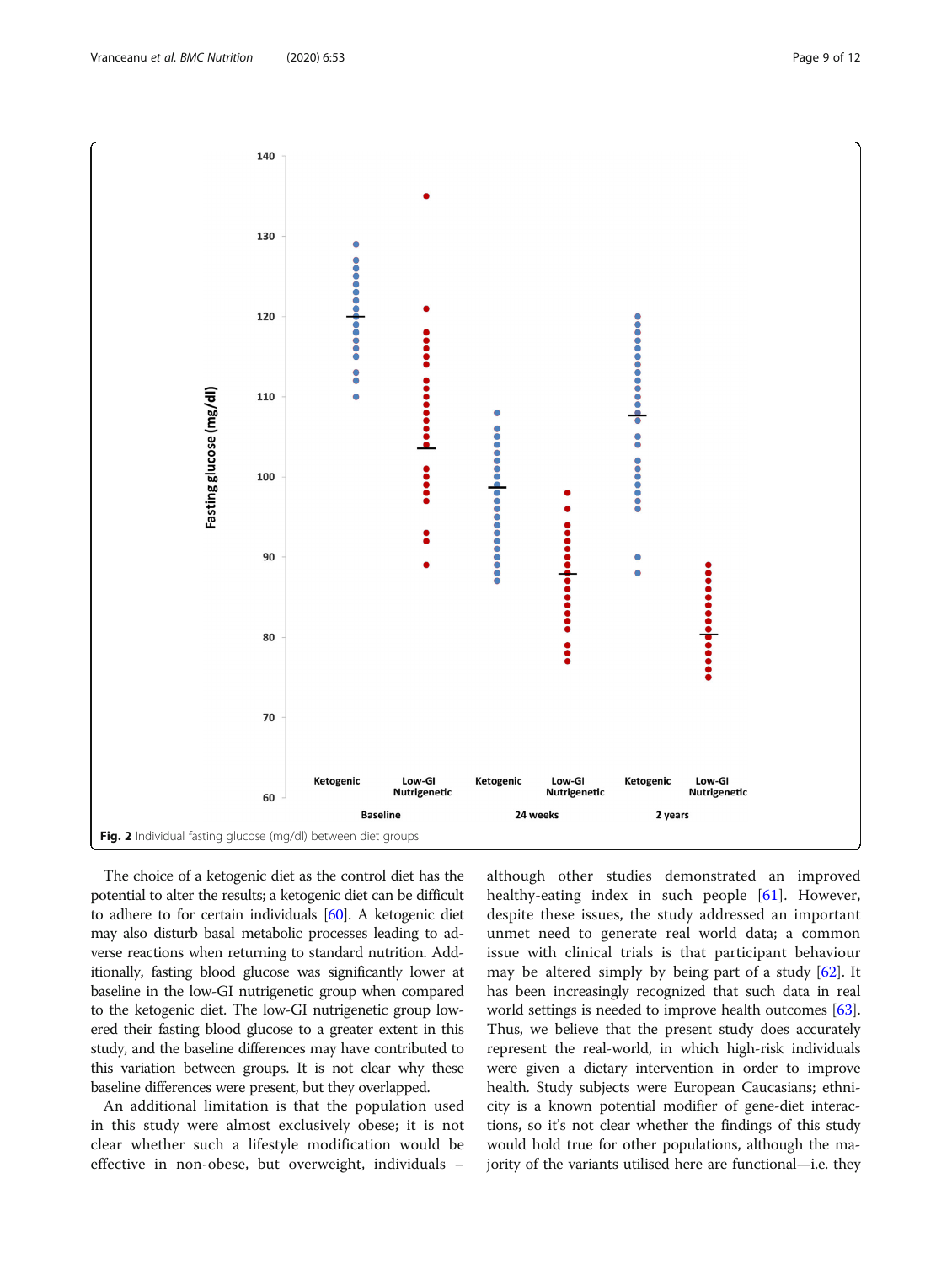<span id="page-8-0"></span>

The choice of a ketogenic diet as the control diet has the potential to alter the results; a ketogenic diet can be difficult to adhere to for certain individuals [\[60\]](#page-11-0). A ketogenic diet may also disturb basal metabolic processes leading to adverse reactions when returning to standard nutrition. Additionally, fasting blood glucose was significantly lower at baseline in the low-GI nutrigenetic group when compared to the ketogenic diet. The low-GI nutrigenetic group lowered their fasting blood glucose to a greater extent in this study, and the baseline differences may have contributed to this variation between groups. It is not clear why these baseline differences were present, but they overlapped.

An additional limitation is that the population used in this study were almost exclusively obese; it is not clear whether such a lifestyle modification would be effective in non-obese, but overweight, individuals –

although other studies demonstrated an improved healthy-eating index in such people [\[61](#page-11-0)]. However, despite these issues, the study addressed an important unmet need to generate real world data; a common issue with clinical trials is that participant behaviour may be altered simply by being part of a study [[62\]](#page-11-0). It has been increasingly recognized that such data in real world settings is needed to improve health outcomes [[63](#page-11-0)]. Thus, we believe that the present study does accurately represent the real-world, in which high-risk individuals were given a dietary intervention in order to improve health. Study subjects were European Caucasians; ethnicity is a known potential modifier of gene-diet interactions, so it's not clear whether the findings of this study would hold true for other populations, although the majority of the variants utilised here are functional—i.e. they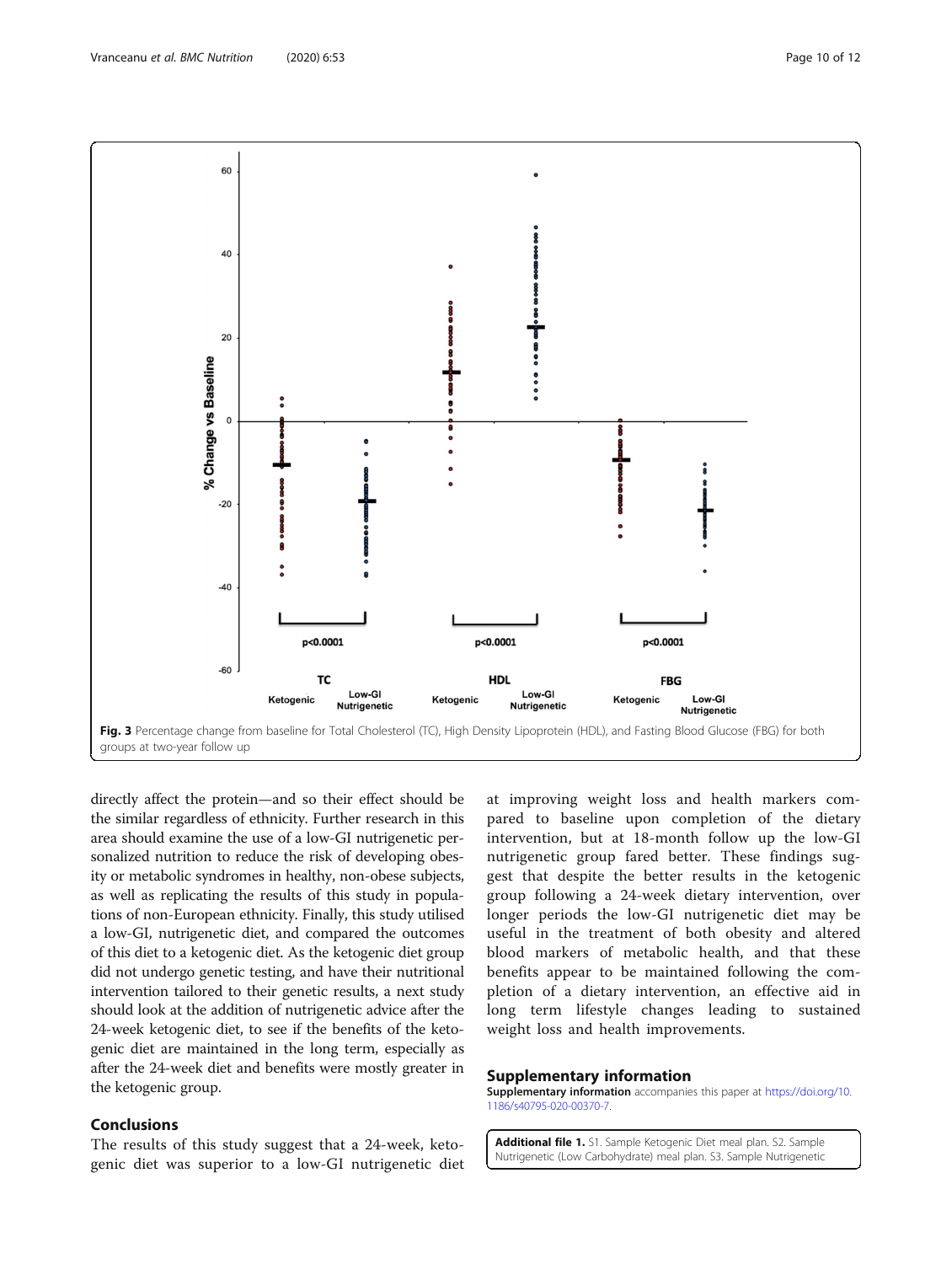<span id="page-9-0"></span>

directly affect the protein—and so their effect should be the similar regardless of ethnicity. Further research in this area should examine the use of a low-GI nutrigenetic personalized nutrition to reduce the risk of developing obesity or metabolic syndromes in healthy, non-obese subjects, as well as replicating the results of this study in populations of non-European ethnicity. Finally, this study utilised a low-GI, nutrigenetic diet, and compared the outcomes of this diet to a ketogenic diet. As the ketogenic diet group did not undergo genetic testing, and have their nutritional intervention tailored to their genetic results, a next study should look at the addition of nutrigenetic advice after the 24-week ketogenic diet, to see if the benefits of the ketogenic diet are maintained in the long term, especially as after the 24-week diet and benefits were mostly greater in the ketogenic group.

# Conclusions

The results of this study suggest that a 24-week, ketogenic diet was superior to a low-GI nutrigenetic diet

at improving weight loss and health markers compared to baseline upon completion of the dietary intervention, but at 18-month follow up the low-GI nutrigenetic group fared better. These findings suggest that despite the better results in the ketogenic group following a 24-week dietary intervention, over longer periods the low-GI nutrigenetic diet may be useful in the treatment of both obesity and altered blood markers of metabolic health, and that these benefits appear to be maintained following the completion of a dietary intervention, an effective aid in long term lifestyle changes leading to sustained weight loss and health improvements.

## Supplementary information

Supplementary information accompanies this paper at [https://doi.org/10.](https://doi.org/10.1186/s40795-020-00370-7) [1186/s40795-020-00370-7](https://doi.org/10.1186/s40795-020-00370-7).

Additional file 1. S1. Sample Ketogenic Diet meal plan. S2. Sample Nutrigenetic (Low Carbohydrate) meal plan. S3. Sample Nutrigenetic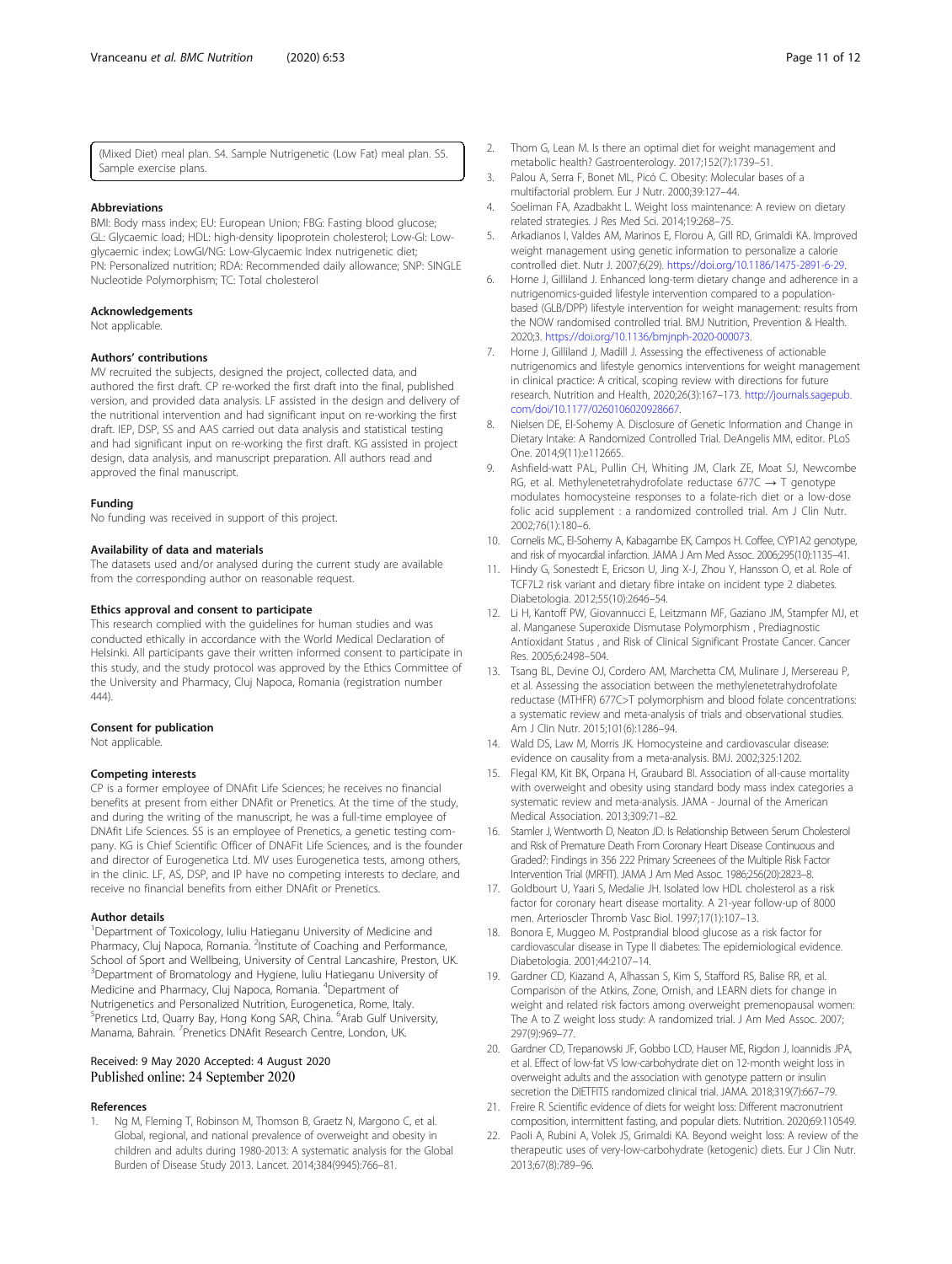## <span id="page-10-0"></span>**Abbreviations**

BMI: Body mass index; EU: European Union; FBG: Fasting blood glucose; GL: Glycaemic load; HDL: high-density lipoprotein cholesterol; Low-GI: Lowglycaemic index; LowGI/NG: Low-Glycaemic Index nutrigenetic diet; PN: Personalized nutrition; RDA: Recommended daily allowance; SNP: SINGLE Nucleotide Polymorphism; TC: Total cholesterol

# Acknowledgements

Not applicable.

# Authors' contributions

MV recruited the subjects, designed the project, collected data, and authored the first draft. CP re-worked the first draft into the final, published version, and provided data analysis. LF assisted in the design and delivery of the nutritional intervention and had significant input on re-working the first draft. IEP, DSP, SS and AAS carried out data analysis and statistical testing and had significant input on re-working the first draft. KG assisted in project design, data analysis, and manuscript preparation. All authors read and approved the final manuscript.

#### Funding

No funding was received in support of this project.

#### Availability of data and materials

The datasets used and/or analysed during the current study are available from the corresponding author on reasonable request.

### Ethics approval and consent to participate

This research complied with the guidelines for human studies and was conducted ethically in accordance with the World Medical Declaration of Helsinki. All participants gave their written informed consent to participate in this study, and the study protocol was approved by the Ethics Committee of the University and Pharmacy, Cluj Napoca, Romania (registration number  $(444)$ 

#### Consent for publication

Not applicable.

#### Competing interests

CP is a former employee of DNAfit Life Sciences; he receives no financial benefits at present from either DNAfit or Prenetics. At the time of the study, and during the writing of the manuscript, he was a full-time employee of DNAfit Life Sciences. SS is an employee of Prenetics, a genetic testing company. KG is Chief Scientific Officer of DNAFit Life Sciences, and is the founder and director of Eurogenetica Ltd. MV uses Eurogenetica tests, among others, in the clinic. LF, AS, DSP, and IP have no competing interests to declare, and receive no financial benefits from either DNAfit or Prenetics.

#### Author details

<sup>1</sup>Department of Toxicology, Iuliu Hatieganu University of Medicine and Pharmacy, Cluj Napoca, Romania. <sup>2</sup>Institute of Coaching and Performance, School of Sport and Wellbeing, University of Central Lancashire, Preston, UK. 3 Department of Bromatology and Hygiene, Iuliu Hatieganu University of Medicine and Pharmacy, Cluj Napoca, Romania. <sup>4</sup>Department of Nutrigenetics and Personalized Nutrition, Eurogenetica, Rome, Italy. <sup>5</sup> Prenetics Ltd, Quarry Bay, Hong Kong SAR, China. <sup>6</sup> Arab Gulf University, Manama, Bahrain. <sup>7</sup> Prenetics DNAfit Research Centre, London, UK.

# Received: 9 May 2020 Accepted: 4 August 2020 Published online: 24 September 2020

#### References

1. Ng M, Fleming T, Robinson M, Thomson B, Graetz N, Margono C, et al. Global, regional, and national prevalence of overweight and obesity in children and adults during 1980-2013: A systematic analysis for the Global Burden of Disease Study 2013. Lancet. 2014;384(9945):766–81.

- 2. Thom G, Lean M. Is there an optimal diet for weight management and metabolic health? Gastroenterology. 2017;152(7):1739–51.
- 3. Palou A, Serra F, Bonet ML, Picó C. Obesity: Molecular bases of a multifactorial problem. Eur J Nutr. 2000;39:127–44.
- 4. Soeliman FA, Azadbakht L. Weight loss maintenance: A review on dietary related strategies. J Res Med Sci. 2014;19:268–75.
- 5. Arkadianos I, Valdes AM, Marinos E, Florou A, Gill RD, Grimaldi KA. Improved weight management using genetic information to personalize a calorie controlled diet. Nutr J. 2007;6(29). <https://doi.org/10.1186/1475-2891-6-29>.
- 6. Horne J, Gilliland J. Enhanced long-term dietary change and adherence in a nutrigenomics-guided lifestyle intervention compared to a populationbased (GLB/DPP) lifestyle intervention for weight management: results from the NOW randomised controlled trial. BMJ Nutrition, Prevention & Health. 2020;3. <https://doi.org/10.1136/bmjnph-2020-000073>.
- 7. Horne J, Gilliland J, Madill J. Assessing the effectiveness of actionable nutrigenomics and lifestyle genomics interventions for weight management in clinical practice: A critical, scoping review with directions for future research. Nutrition and Health, 2020;26(3):167–173. [http://journals.sagepub.](http://journals.sagepub.com/doi/10.1177/0260106020928667) [com/doi/10.1177/0260106020928667](http://journals.sagepub.com/doi/10.1177/0260106020928667).
- 8. Nielsen DE, El-Sohemy A. Disclosure of Genetic Information and Change in Dietary Intake: A Randomized Controlled Trial. DeAngelis MM, editor. PLoS One. 2014;9(11):e112665.
- 9. Ashfield-watt PAL, Pullin CH, Whiting JM, Clark ZE, Moat SJ, Newcombe RG, et al. Methylenetetrahydrofolate reductase 677C  $\rightarrow$  T genotype modulates homocysteine responses to a folate-rich diet or a low-dose folic acid supplement : a randomized controlled trial. Am J Clin Nutr. 2002;76(1):180–6.
- 10. Cornelis MC, El-Sohemy A, Kabagambe EK, Campos H. Coffee, CYP1A2 genotype, and risk of myocardial infarction. JAMA J Am Med Assoc. 2006;295(10):1135–41.
- 11. Hindy G, Sonestedt E, Ericson U, Jing X-J, Zhou Y, Hansson O, et al. Role of TCF7L2 risk variant and dietary fibre intake on incident type 2 diabetes. Diabetologia. 2012;55(10):2646–54.
- 12. Li H, Kantoff PW, Giovannucci E, Leitzmann MF, Gaziano JM, Stampfer MJ, et al. Manganese Superoxide Dismutase Polymorphism , Prediagnostic Antioxidant Status , and Risk of Clinical Significant Prostate Cancer. Cancer Res. 2005;6:2498–504.
- 13. Tsang BL, Devine OJ, Cordero AM, Marchetta CM, Mulinare J, Mersereau P, et al. Assessing the association between the methylenetetrahydrofolate reductase (MTHFR) 677C>T polymorphism and blood folate concentrations: a systematic review and meta-analysis of trials and observational studies. Am J Clin Nutr. 2015;101(6):1286–94.
- 14. Wald DS, Law M, Morris JK. Homocysteine and cardiovascular disease: evidence on causality from a meta-analysis. BMJ. 2002;325:1202.
- 15. Flegal KM, Kit BK, Orpana H, Graubard BI. Association of all-cause mortality with overweight and obesity using standard body mass index categories a systematic review and meta-analysis. JAMA - Journal of the American Medical Association. 2013;309:71–82.
- 16. Stamler J, Wentworth D, Neaton JD. Is Relationship Between Serum Cholesterol and Risk of Premature Death From Coronary Heart Disease Continuous and Graded?: Findings in 356 222 Primary Screenees of the Multiple Risk Factor Intervention Trial (MRFIT). JAMA J Am Med Assoc. 1986;256(20):2823–8.
- 17. Goldbourt U, Yaari S, Medalie JH. Isolated low HDL cholesterol as a risk factor for coronary heart disease mortality. A 21-year follow-up of 8000 men. Arterioscler Thromb Vasc Biol. 1997;17(1):107–13.
- 18. Bonora E, Muggeo M. Postprandial blood glucose as a risk factor for cardiovascular disease in Type II diabetes: The epidemiological evidence. Diabetologia. 2001;44:2107–14.
- 19. Gardner CD, Kiazand A, Alhassan S, Kim S, Stafford RS, Balise RR, et al. Comparison of the Atkins, Zone, Ornish, and LEARN diets for change in weight and related risk factors among overweight premenopausal women: The A to Z weight loss study: A randomized trial. J Am Med Assoc. 2007; 297(9):969–77.
- 20. Gardner CD, Trepanowski JF, Gobbo LCD, Hauser ME, Rigdon J, Ioannidis JPA, et al. Effect of low-fat VS low-carbohydrate diet on 12-month weight loss in overweight adults and the association with genotype pattern or insulin secretion the DIETFITS randomized clinical trial. JAMA. 2018;319(7):667–79.
- 21. Freire R. Scientific evidence of diets for weight loss: Different macronutrient composition, intermittent fasting, and popular diets. Nutrition. 2020;69:110549.
- 22. Paoli A, Rubini A, Volek JS, Grimaldi KA. Beyond weight loss: A review of the therapeutic uses of very-low-carbohydrate (ketogenic) diets. Eur J Clin Nutr. 2013;67(8):789–96.